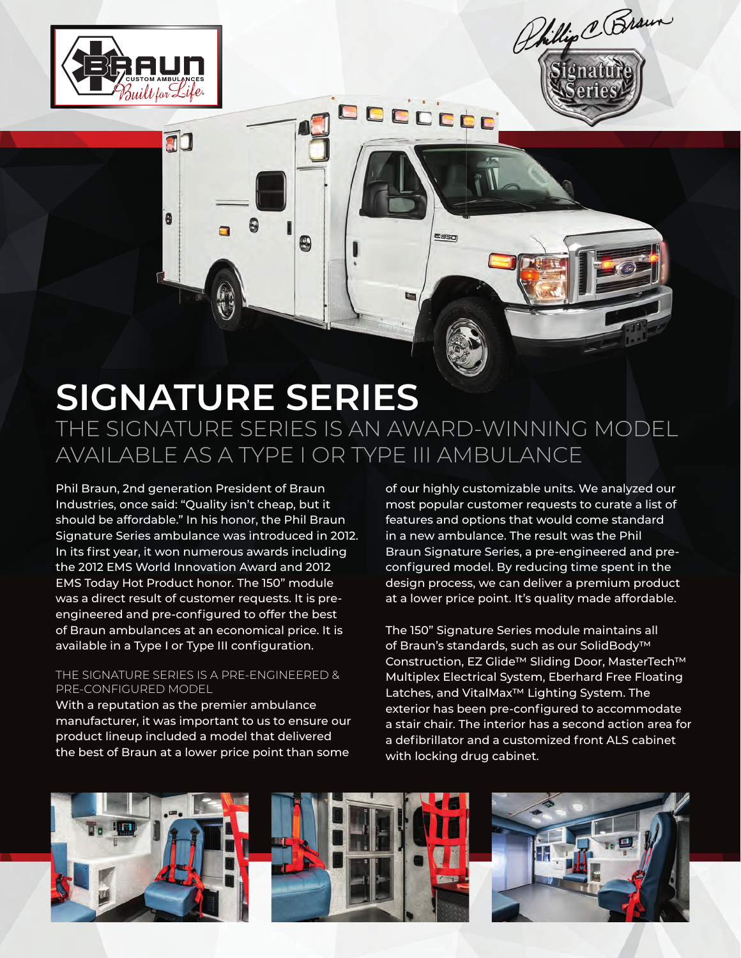

8

8

8

F



## **SIGNATURE SERIES**  THE SIGNATURE SERIES IS AN AWARD-WINNING MODEL AVAILABLE AS A TYPE I OR TYPE III AMBULANCE

**E** 350

Phil Braun, 2nd generation President of Braun Industries, once said: "Quality isn't cheap, but it should be affordable." In his honor, the Phil Braun Signature Series ambulance was introduced in 2012. In its first year, it won numerous awards including the 2012 EMS World Innovation Award and 2012 EMS Today Hot Product honor. The 150" module was a direct result of customer requests. It is preengineered and pre-configured to offer the best of Braun ambulances at an economical price. It is available in a Type I or Type III configuration.

## THE SIGNATURE SERIES IS A PRE-ENGINEERED & PRE-CONFIGURED MODEL

With a reputation as the premier ambulance manufacturer, it was important to us to ensure our product lineup included a model that delivered the best of Braun at a lower price point than some

of our highly customizable units. We analyzed our most popular customer requests to curate a list of features and options that would come standard in a new ambulance. The result was the Phil Braun Signature Series, a pre-engineered and preconfigured model. By reducing time spent in the design process, we can deliver a premium product at a lower price point. It's quality made affordable.

The 150" Signature Series module maintains all of Braun's standards, such as our SolidBody™ Construction, EZ Glide™ Sliding Door, MasterTech™ Multiplex Electrical System, Eberhard Free Floating Latches, and VitalMax™ Lighting System. The exterior has been pre-configured to accommodate a stair chair. The interior has a second action area for a defibrillator and a customized front ALS cabinet with locking drug cabinet.